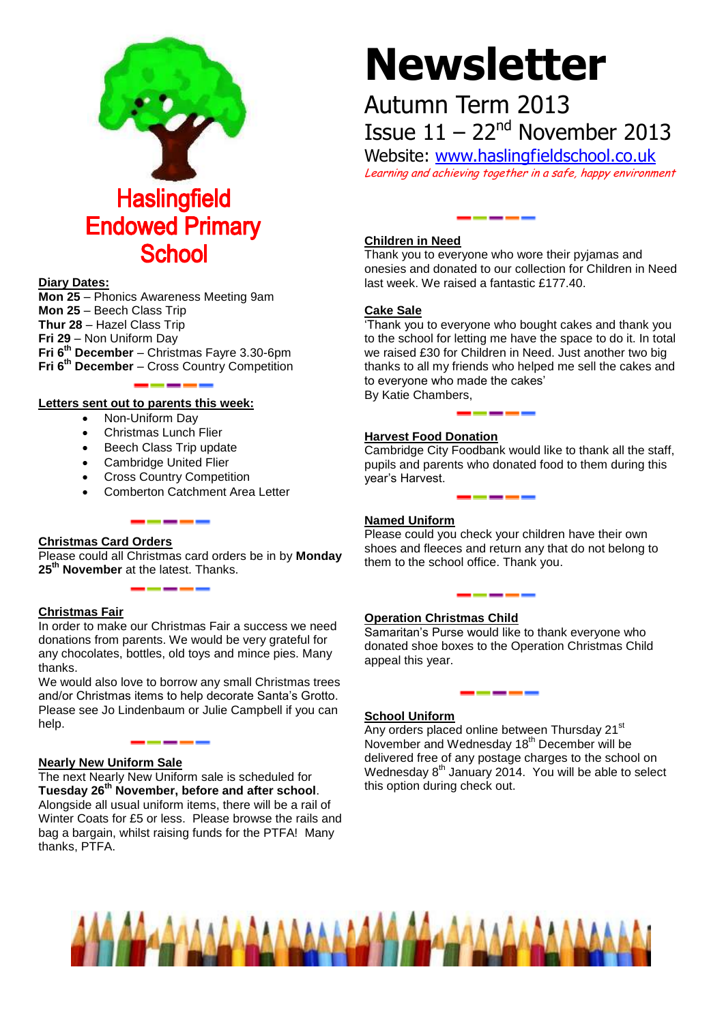

#### **Diary Dates:**

**Mon 25** – Phonics Awareness Meeting 9am **Mon 25** – Beech Class Trip **Thur 28** – Hazel Class Trip **Fri 29** – Non Uniform Day **Fri 6th December** – Christmas Fayre 3.30-6pm **Fri 6th December** – Cross Country Competition

#### **Letters sent out to parents this week:**

- Non-Uniform Day
- Christmas Lunch Flier
- Beech Class Trip update
- Cambridge United Flier
- Cross Country Competition
- Comberton Catchment Area Letter

#### **Christmas Card Orders**

Please could all Christmas card orders be in by **Monday 25th November** at the latest. Thanks.

#### **Christmas Fair**

In order to make our Christmas Fair a success we need donations from parents. We would be very grateful for any chocolates, bottles, old toys and mince pies. Many thanks.

We would also love to borrow any small Christmas trees and/or Christmas items to help decorate Santa's Grotto. Please see Jo Lindenbaum or Julie Campbell if you can help.

------

#### **Nearly New Uniform Sale**

The next Nearly New Uniform sale is scheduled for **Tuesday 26th November, before and after school**. Alongside all usual uniform items, there will be a rail of Winter Coats for £5 or less. Please browse the rails and bag a bargain, whilst raising funds for the PTFA! Many thanks, PTFA.

# **Newsletter**

## Autumn Term 2013 Issue  $11 - 22<sup>nd</sup>$  November 2013

Website: [www.haslingfieldschool.co.uk](http://www.haslingfieldschool.co.uk/)

Learning and achieving together in a safe, happy environment

#### **Children in Need**

Thank you to everyone who wore their pyjamas and onesies and donated to our collection for Children in Need last week. We raised a fantastic £177.40.

#### **Cake Sale**

'Thank you to everyone who bought cakes and thank you to the school for letting me have the space to do it. In total we raised £30 for Children in Need. Just another two big thanks to all my friends who helped me sell the cakes and to everyone who made the cakes' By Katie Chambers,

#### **Harvest Food Donation**

Cambridge City Foodbank would like to thank all the staff, pupils and parents who donated food to them during this year's Harvest.

#### **Named Uniform**

Please could you check your children have their own shoes and fleeces and return any that do not belong to them to the school office. Thank you.

### **Operation Christmas Child**

Samaritan's Purse would like to thank everyone who donated shoe boxes to the Operation Christmas Child appeal this year.

#### **School Uniform**

Any orders placed online between Thursday 21<sup>st</sup> November and Wednesday 18<sup>th</sup> December will be delivered free of any postage charges to the school on Wednesday  $8<sup>th</sup>$  January 2014. You will be able to select this option during check out.